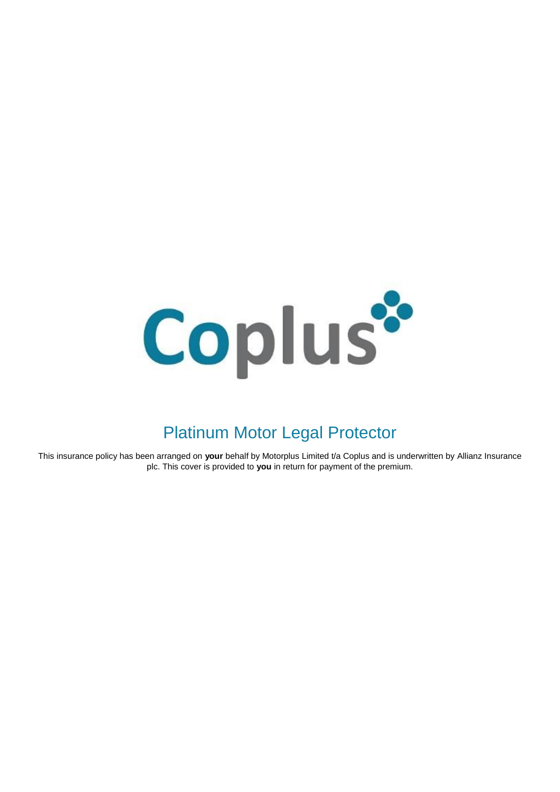

# Platinum Motor Legal Protector

This insurance policy has been arranged on your behalf by Motorplus Limited t/a Coplus and is underwritten by Allianz Insurance plc. This cover is provided to **you** in return for payment of the premium.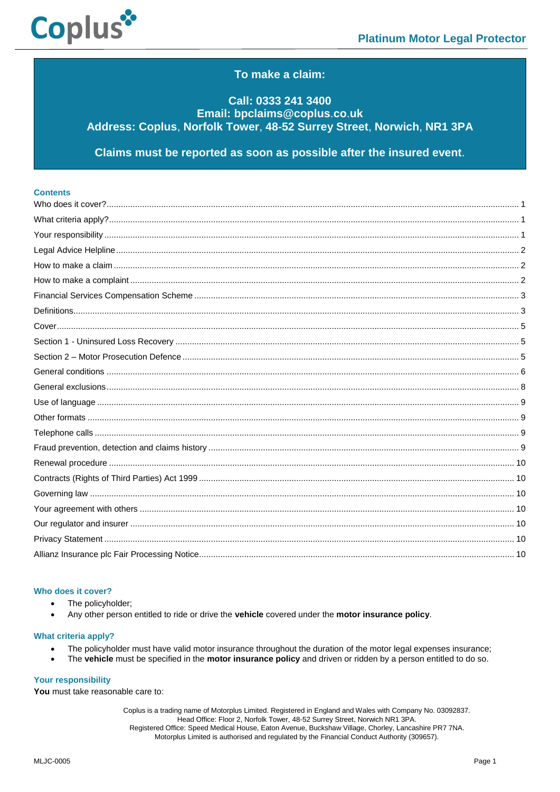

# To make a claim:

# Call: 0333 241 3400 Email: bpclaims@coplus.co.uk Address: Coplus, Norfolk Tower, 48-52 Surrey Street, Norwich, NR1 3PA

Claims must be reported as soon as possible after the insured event.

| <b>Contents</b> |  |
|-----------------|--|
|                 |  |
|                 |  |
|                 |  |
|                 |  |
|                 |  |
|                 |  |
|                 |  |
|                 |  |
|                 |  |
|                 |  |
|                 |  |
|                 |  |
|                 |  |
|                 |  |
|                 |  |
|                 |  |
|                 |  |
|                 |  |
|                 |  |
|                 |  |
|                 |  |
|                 |  |
|                 |  |
|                 |  |

## <span id="page-1-0"></span>Who does it cover?

- The policyholder:
- Any other person entitled to ride or drive the vehicle covered under the motor insurance policy.

#### <span id="page-1-1"></span>**What criteria apply?**

- The policyholder must have valid motor insurance throughout the duration of the motor legal expenses insurance;
- The vehicle must be specified in the motor insurance policy and driven or ridden by a person entitled to do so.

## <span id="page-1-2"></span>**Your responsibility**

You must take reasonable care to: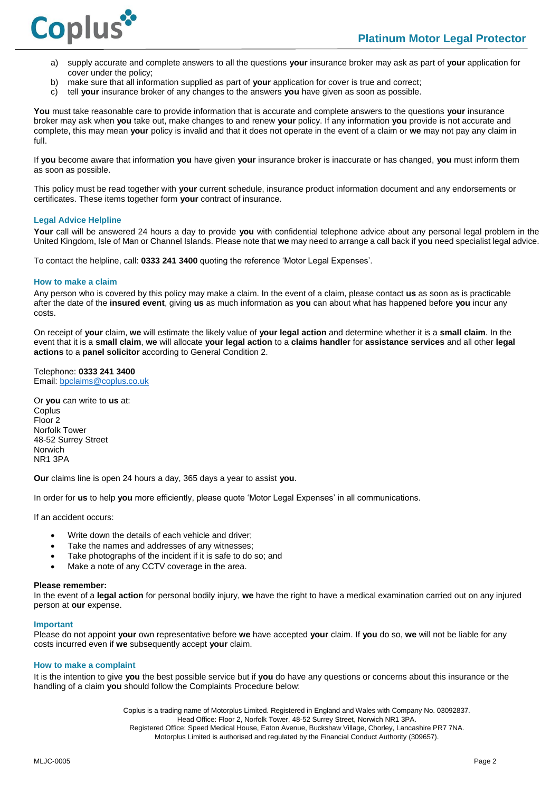

- a) supply accurate and complete answers to all the questions **your** insurance broker may ask as part of **your** application for cover under the policy;
- b) make sure that all information supplied as part of **your** application for cover is true and correct;
- c) tell **your** insurance broker of any changes to the answers **you** have given as soon as possible.

**You** must take reasonable care to provide information that is accurate and complete answers to the questions **your** insurance broker may ask when **you** take out, make changes to and renew **your** policy. If any information **you** provide is not accurate and complete, this may mean **your** policy is invalid and that it does not operate in the event of a claim or **we** may not pay any claim in full.

If **you** become aware that information **you** have given **your** insurance broker is inaccurate or has changed, **you** must inform them as soon as possible.

This policy must be read together with **your** current schedule, insurance product information document and any endorsements or certificates. These items together form **your** contract of insurance.

#### <span id="page-2-0"></span>**Legal Advice Helpline**

**Your** call will be answered 24 hours a day to provide **you** with confidential telephone advice about any personal legal problem in the United Kingdom, Isle of Man or Channel Islands. Please note that **we** may need to arrange a call back if **you** need specialist legal advice.

To contact the helpline, call: **0333 241 3400** quoting the reference 'Motor Legal Expenses'.

#### <span id="page-2-1"></span>**How to make a claim**

Any person who is covered by this policy may make a claim. In the event of a claim, please contact **us** as soon as is practicable after the date of the **insured event**, giving **us** as much information as **you** can about what has happened before **you** incur any costs.

On receipt of **your** claim, **we** will estimate the likely value of **your legal action** and determine whether it is a **small claim**. In the event that it is a **small claim**, **we** will allocate **your legal action** to a **claims handler** for **assistance services** and all other **legal actions** to a **panel solicitor** according to General Condition 2.

Telephone: **0333 241 3400** Email: b[pclaims@coplus.co.uk](mailto:claims@coplus.co.uk)

Or **you** can write to **us** at: **Coplus** Floor 2 Norfolk Tower 48-52 Surrey Street Norwich NR1 3PA

**Our** claims line is open 24 hours a day, 365 days a year to assist **you**.

In order for **us** to help **you** more efficiently, please quote 'Motor Legal Expenses' in all communications.

If an accident occurs:

- Write down the details of each vehicle and driver;
- Take the names and addresses of any witnesses;
- Take photographs of the incident if it is safe to do so; and
- Make a note of any CCTV coverage in the area.

#### **Please remember:**

In the event of a **legal action** for personal bodily injury, **we** have the right to have a medical examination carried out on any injured person at **our** expense.

#### **Important**

Please do not appoint **your** own representative before **we** have accepted **your** claim. If **you** do so, **we** will not be liable for any costs incurred even if **we** subsequently accept **your** claim.

#### <span id="page-2-2"></span>**How to make a complaint**

It is the intention to give **you** the best possible service but if **you** do have any questions or concerns about this insurance or the handling of a claim **you** should follow the Complaints Procedure below: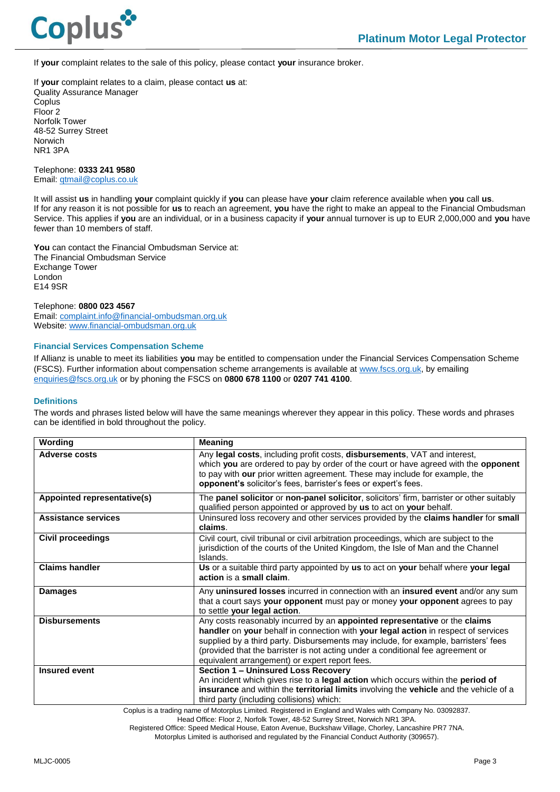

If **your** complaint relates to the sale of this policy, please contact **your** insurance broker.

If **your** complaint relates to a claim, please contact **us** at: Quality Assurance Manager **Coplus** Floor 2 Norfolk Tower 48-52 Surrey Street Norwich NR1 3PA

Telephone: **0333 241 9580** Email[: qtmail@coplus.co.uk](mailto:qtmail@coplus.co.uk)

It will assist **us** in handling **your** complaint quickly if **you** can please have **your** claim reference available when **you** call **us**. If for any reason it is not possible for **us** to reach an agreement, **you** have the right to make an appeal to the Financial Ombudsman Service. This applies if **you** are an individual, or in a business capacity if **your** annual turnover is up to EUR 2,000,000 and **you** have fewer than 10 members of staff.

**You** can contact the Financial Ombudsman Service at: The Financial Ombudsman Service Exchange Tower London E14 9SR

#### Telephone: **0800 023 4567**

Email[: complaint.info@financial-ombudsman.org.uk](mailto:complaint.info@financial-ombudsman.org.uk) Website[: www.financial-ombudsman.org.uk](http://www.financial-ombudsman.org.uk/)

## <span id="page-3-0"></span>**Financial Services Compensation Scheme**

If Allianz is unable to meet its liabilities **you** may be entitled to compensation under the Financial Services Compensation Scheme (FSCS). Further information about compensation scheme arrangements is available at [www.fscs.org.uk,](http://www.fscs.org.uk/) by emailing [enquiries@fscs.org.uk](mailto:enquiries@fscs.org.uk) or by phoning the FSCS on **0800 678 1100** or **0207 741 4100**.

#### <span id="page-3-1"></span>**Definitions**

The words and phrases listed below will have the same meanings wherever they appear in this policy. These words and phrases can be identified in bold throughout the policy.

| Wording                     | <b>Meaning</b>                                                                                                                                                                                                                                                                                                                                                                               |
|-----------------------------|----------------------------------------------------------------------------------------------------------------------------------------------------------------------------------------------------------------------------------------------------------------------------------------------------------------------------------------------------------------------------------------------|
| <b>Adverse costs</b>        | Any legal costs, including profit costs, disbursements, VAT and interest,<br>which you are ordered to pay by order of the court or have agreed with the opponent<br>to pay with our prior written agreement. These may include for example, the<br>opponent's solicitor's fees, barrister's fees or expert's fees.                                                                           |
| Appointed representative(s) | The <b>panel solicitor</b> or <b>non-panel solicitor</b> , solicitors' firm, barrister or other suitably<br>qualified person appointed or approved by us to act on your behalf.                                                                                                                                                                                                              |
| <b>Assistance services</b>  | Uninsured loss recovery and other services provided by the claims handler for small<br>claims.                                                                                                                                                                                                                                                                                               |
| <b>Civil proceedings</b>    | Civil court, civil tribunal or civil arbitration proceedings, which are subject to the<br>jurisdiction of the courts of the United Kingdom, the Isle of Man and the Channel<br>Islands.                                                                                                                                                                                                      |
| <b>Claims handler</b>       | Us or a suitable third party appointed by us to act on your behalf where your legal<br>action is a small claim.                                                                                                                                                                                                                                                                              |
| <b>Damages</b>              | Any uninsured losses incurred in connection with an insured event and/or any sum<br>that a court says your opponent must pay or money your opponent agrees to pay<br>to settle your legal action.                                                                                                                                                                                            |
| <b>Disbursements</b>        | Any costs reasonably incurred by an appointed representative or the claims<br>handler on your behalf in connection with your legal action in respect of services<br>supplied by a third party. Disbursements may include, for example, barristers' fees<br>(provided that the barrister is not acting under a conditional fee agreement or<br>equivalent arrangement) or expert report fees. |
| <b>Insured event</b>        | <b>Section 1 - Uninsured Loss Recovery</b><br>An incident which gives rise to a legal action which occurs within the period of<br>insurance and within the territorial limits involving the vehicle and the vehicle of a<br>third party (including collisions) which:                                                                                                                        |

Coplus is a trading name of Motorplus Limited. Registered in England and Wales with Company No. 03092837.

Head Office: Floor 2, Norfolk Tower, 48-52 Surrey Street, Norwich NR1 3PA.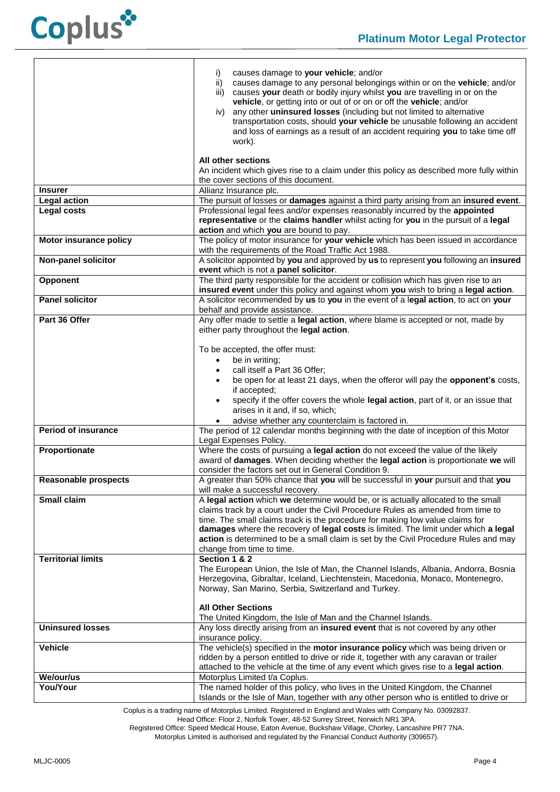

|                                       | i)<br>causes damage to your vehicle; and/or<br>causes damage to any personal belongings within or on the vehicle; and/or<br>ii)<br>causes your death or bodily injury whilst you are travelling in or on the<br>iii)<br>vehicle, or getting into or out of or on or off the vehicle; and/or<br>any other uninsured losses (including but not limited to alternative<br>iv)<br>transportation costs, should your vehicle be unusable following an accident<br>and loss of earnings as a result of an accident requiring you to take time off<br>work). |  |
|---------------------------------------|-------------------------------------------------------------------------------------------------------------------------------------------------------------------------------------------------------------------------------------------------------------------------------------------------------------------------------------------------------------------------------------------------------------------------------------------------------------------------------------------------------------------------------------------------------|--|
|                                       | All other sections<br>An incident which gives rise to a claim under this policy as described more fully within                                                                                                                                                                                                                                                                                                                                                                                                                                        |  |
|                                       | the cover sections of this document.                                                                                                                                                                                                                                                                                                                                                                                                                                                                                                                  |  |
| <b>Insurer</b><br><b>Legal action</b> | Allianz Insurance plc.<br>The pursuit of losses or damages against a third party arising from an insured event.                                                                                                                                                                                                                                                                                                                                                                                                                                       |  |
| <b>Legal costs</b>                    | Professional legal fees and/or expenses reasonably incurred by the appointed                                                                                                                                                                                                                                                                                                                                                                                                                                                                          |  |
|                                       | representative or the claims handler whilst acting for you in the pursuit of a legal<br>action and which you are bound to pay.                                                                                                                                                                                                                                                                                                                                                                                                                        |  |
| Motor insurance policy                | The policy of motor insurance for your vehicle which has been issued in accordance                                                                                                                                                                                                                                                                                                                                                                                                                                                                    |  |
| <b>Non-panel solicitor</b>            | with the requirements of the Road Traffic Act 1988.<br>A solicitor appointed by you and approved by us to represent you following an insured<br>event which is not a panel solicitor.                                                                                                                                                                                                                                                                                                                                                                 |  |
| Opponent                              | The third party responsible for the accident or collision which has given rise to an<br>insured event under this policy and against whom you wish to bring a legal action.                                                                                                                                                                                                                                                                                                                                                                            |  |
| <b>Panel solicitor</b>                | A solicitor recommended by us to you in the event of a legal action, to act on your<br>behalf and provide assistance.                                                                                                                                                                                                                                                                                                                                                                                                                                 |  |
| Part 36 Offer                         | Any offer made to settle a legal action, where blame is accepted or not, made by<br>either party throughout the legal action.                                                                                                                                                                                                                                                                                                                                                                                                                         |  |
|                                       |                                                                                                                                                                                                                                                                                                                                                                                                                                                                                                                                                       |  |
|                                       | To be accepted, the offer must:                                                                                                                                                                                                                                                                                                                                                                                                                                                                                                                       |  |
|                                       | be in writing;<br>$\bullet$                                                                                                                                                                                                                                                                                                                                                                                                                                                                                                                           |  |
|                                       | call itself a Part 36 Offer;                                                                                                                                                                                                                                                                                                                                                                                                                                                                                                                          |  |
|                                       | be open for at least 21 days, when the offeror will pay the opponent's costs,<br>if accepted;                                                                                                                                                                                                                                                                                                                                                                                                                                                         |  |
|                                       | specify if the offer covers the whole legal action, part of it, or an issue that                                                                                                                                                                                                                                                                                                                                                                                                                                                                      |  |
|                                       | arises in it and, if so, which;                                                                                                                                                                                                                                                                                                                                                                                                                                                                                                                       |  |
|                                       | advise whether any counterclaim is factored in.                                                                                                                                                                                                                                                                                                                                                                                                                                                                                                       |  |
| <b>Period of insurance</b>            | The period of 12 calendar months beginning with the date of inception of this Motor<br>Legal Expenses Policy.                                                                                                                                                                                                                                                                                                                                                                                                                                         |  |
| Proportionate                         | Where the costs of pursuing a legal action do not exceed the value of the likely                                                                                                                                                                                                                                                                                                                                                                                                                                                                      |  |
|                                       | award of damages. When deciding whether the legal action is proportionate we will<br>consider the factors set out in General Condition 9.                                                                                                                                                                                                                                                                                                                                                                                                             |  |
| <b>Reasonable prospects</b>           | A greater than 50% chance that you will be successful in your pursuit and that you                                                                                                                                                                                                                                                                                                                                                                                                                                                                    |  |
|                                       | will make a successful recovery.                                                                                                                                                                                                                                                                                                                                                                                                                                                                                                                      |  |
| Small claim                           | A legal action which we determine would be, or is actually allocated to the small                                                                                                                                                                                                                                                                                                                                                                                                                                                                     |  |
|                                       | claims track by a court under the Civil Procedure Rules as amended from time to<br>time. The small claims track is the procedure for making low value claims for                                                                                                                                                                                                                                                                                                                                                                                      |  |
|                                       | damages where the recovery of legal costs is limited. The limit under which a legal                                                                                                                                                                                                                                                                                                                                                                                                                                                                   |  |
|                                       | action is determined to be a small claim is set by the Civil Procedure Rules and may                                                                                                                                                                                                                                                                                                                                                                                                                                                                  |  |
|                                       | change from time to time.                                                                                                                                                                                                                                                                                                                                                                                                                                                                                                                             |  |
| <b>Territorial limits</b>             | Section 1 & 2<br>The European Union, the Isle of Man, the Channel Islands, Albania, Andorra, Bosnia                                                                                                                                                                                                                                                                                                                                                                                                                                                   |  |
|                                       | Herzegovina, Gibraltar, Iceland, Liechtenstein, Macedonia, Monaco, Montenegro,                                                                                                                                                                                                                                                                                                                                                                                                                                                                        |  |
|                                       | Norway, San Marino, Serbia, Switzerland and Turkey.                                                                                                                                                                                                                                                                                                                                                                                                                                                                                                   |  |
|                                       |                                                                                                                                                                                                                                                                                                                                                                                                                                                                                                                                                       |  |
|                                       | <b>All Other Sections</b><br>The United Kingdom, the Isle of Man and the Channel Islands.                                                                                                                                                                                                                                                                                                                                                                                                                                                             |  |
| <b>Uninsured losses</b>               | Any loss directly arising from an insured event that is not covered by any other                                                                                                                                                                                                                                                                                                                                                                                                                                                                      |  |
|                                       | insurance policy.                                                                                                                                                                                                                                                                                                                                                                                                                                                                                                                                     |  |
| <b>Vehicle</b>                        | The vehicle(s) specified in the motor insurance policy which was being driven or                                                                                                                                                                                                                                                                                                                                                                                                                                                                      |  |
|                                       | ridden by a person entitled to drive or ride it, together with any caravan or trailer<br>attached to the vehicle at the time of any event which gives rise to a legal action.                                                                                                                                                                                                                                                                                                                                                                         |  |
| We/our/us                             | Motorplus Limited t/a Coplus.                                                                                                                                                                                                                                                                                                                                                                                                                                                                                                                         |  |
| You/Your                              | The named holder of this policy, who lives in the United Kingdom, the Channel                                                                                                                                                                                                                                                                                                                                                                                                                                                                         |  |
|                                       | Islands or the Isle of Man, together with any other person who is entitled to drive or                                                                                                                                                                                                                                                                                                                                                                                                                                                                |  |

Coplus is a trading name of Motorplus Limited. Registered in England and Wales with Company No. 03092837.

Head Office: Floor 2, Norfolk Tower, 48-52 Surrey Street, Norwich NR1 3PA.

Registered Office: Speed Medical House, Eaton Avenue, Buckshaw Village, Chorley, Lancashire PR7 7NA.

Motorplus Limited is authorised and regulated by the Financial Conduct Authority (309657).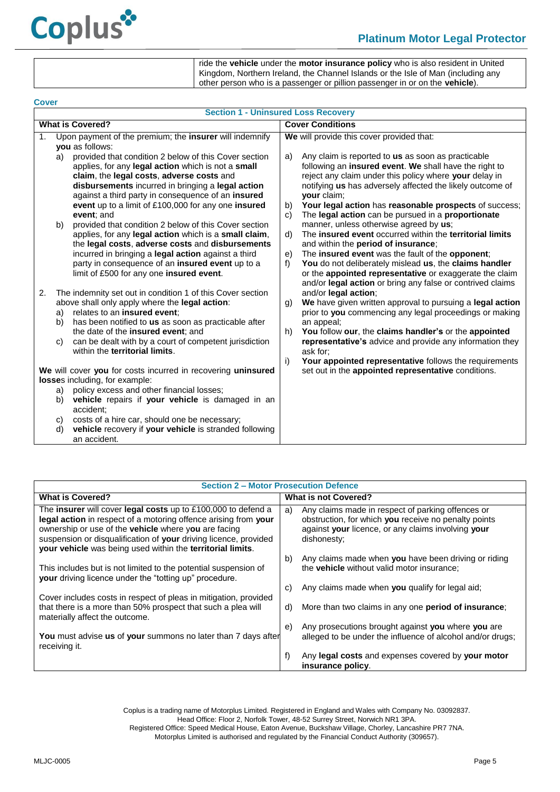

ride the **vehicle** under the **motor insurance policy** who is also resident in United Kingdom, Northern Ireland, the Channel Islands or the Isle of Man (including any other person who is a passenger or pillion passenger in or on the **vehicle**).

<span id="page-5-1"></span><span id="page-5-0"></span>

| <b>Cover</b>                                                                                         |                                            |                                                                                                                                                                                                                                                                                                                                          |                                                                                                                                                                                                                                                                                                                                                                                                           |  |  |  |  |
|------------------------------------------------------------------------------------------------------|--------------------------------------------|------------------------------------------------------------------------------------------------------------------------------------------------------------------------------------------------------------------------------------------------------------------------------------------------------------------------------------------|-----------------------------------------------------------------------------------------------------------------------------------------------------------------------------------------------------------------------------------------------------------------------------------------------------------------------------------------------------------------------------------------------------------|--|--|--|--|
|                                                                                                      | <b>Section 1 - Uninsured Loss Recovery</b> |                                                                                                                                                                                                                                                                                                                                          |                                                                                                                                                                                                                                                                                                                                                                                                           |  |  |  |  |
| <b>What is Covered?</b>                                                                              |                                            |                                                                                                                                                                                                                                                                                                                                          | <b>Cover Conditions</b>                                                                                                                                                                                                                                                                                                                                                                                   |  |  |  |  |
| 1.                                                                                                   |                                            | Upon payment of the premium; the <b>insurer</b> will indemnify<br>you as follows:                                                                                                                                                                                                                                                        | We will provide this cover provided that:                                                                                                                                                                                                                                                                                                                                                                 |  |  |  |  |
|                                                                                                      | a)                                         | provided that condition 2 below of this Cover section<br>applies, for any legal action which is not a small<br>claim, the legal costs, adverse costs and<br>disbursements incurred in bringing a legal action<br>against a third party in consequence of an insured<br>event up to a limit of £100,000 for any one insured<br>event; and | Any claim is reported to us as soon as practicable<br>a)<br>following an insured event. We shall have the right to<br>reject any claim under this policy where your delay in<br>notifying us has adversely affected the likely outcome of<br>your claim;<br>Your legal action has reasonable prospects of success;<br>b)<br>The legal action can be pursued in a proportionate<br>C)                      |  |  |  |  |
|                                                                                                      | b)                                         | provided that condition 2 below of this Cover section<br>applies, for any legal action which is a small claim,<br>the legal costs, adverse costs and disbursements<br>incurred in bringing a legal action against a third<br>party in consequence of an insured event up to a<br>limit of £500 for any one insured event.                | manner, unless otherwise agreed by us;<br>The insured event occurred within the territorial limits<br>d)<br>and within the <b>period of insurance</b> ;<br>The insured event was the fault of the opponent;<br>e)<br>You do not deliberately mislead us, the claims handler<br>f<br>or the appointed representative or exaggerate the claim<br>and/or legal action or bring any false or contrived claims |  |  |  |  |
| 2.                                                                                                   | a)                                         | The indemnity set out in condition 1 of this Cover section<br>above shall only apply where the legal action:<br>relates to an insured event;                                                                                                                                                                                             | and/or legal action;<br>We have given written approval to pursuing a legal action<br>g)<br>prior to you commencing any legal proceedings or making                                                                                                                                                                                                                                                        |  |  |  |  |
|                                                                                                      | b)<br>C)                                   | has been notified to us as soon as practicable after<br>the date of the <b>insured event</b> ; and<br>can be dealt with by a court of competent jurisdiction<br>within the territorial limits.                                                                                                                                           | an appeal;<br>You follow our, the claims handler's or the appointed<br>h)<br>representative's advice and provide any information they<br>ask for;<br>i)                                                                                                                                                                                                                                                   |  |  |  |  |
| We will cover you for costs incurred in recovering uninsured<br>losses including, for example:<br>a) |                                            | policy excess and other financial losses;                                                                                                                                                                                                                                                                                                | Your appointed representative follows the requirements<br>set out in the appointed representative conditions.                                                                                                                                                                                                                                                                                             |  |  |  |  |
|                                                                                                      | b)<br>C)<br>d)                             | vehicle repairs if your vehicle is damaged in an<br>accident:<br>costs of a hire car, should one be necessary;<br>vehicle recovery if your vehicle is stranded following<br>an accident.                                                                                                                                                 |                                                                                                                                                                                                                                                                                                                                                                                                           |  |  |  |  |

<span id="page-5-2"></span>

| <b>Section 2 - Motor Prosecution Defence</b>                                                                                                                                                                                                                                                                               |                                                                                                                                                                                      |  |  |  |
|----------------------------------------------------------------------------------------------------------------------------------------------------------------------------------------------------------------------------------------------------------------------------------------------------------------------------|--------------------------------------------------------------------------------------------------------------------------------------------------------------------------------------|--|--|--|
| <b>What is Covered?</b>                                                                                                                                                                                                                                                                                                    | <b>What is not Covered?</b>                                                                                                                                                          |  |  |  |
| The insurer will cover legal costs up to £100,000 to defend a<br>legal action in respect of a motoring offence arising from your<br>ownership or use of the vehicle where you are facing<br>suspension or disqualification of your driving licence, provided<br>your vehicle was being used within the territorial limits. | Any claims made in respect of parking offences or<br>a)<br>obstruction, for which you receive no penalty points<br>against your licence, or any claims involving your<br>dishonesty; |  |  |  |
| This includes but is not limited to the potential suspension of<br>your driving licence under the "totting up" procedure.                                                                                                                                                                                                  | Any claims made when you have been driving or riding<br>b)<br>the <b>vehicle</b> without valid motor insurance:                                                                      |  |  |  |
| Cover includes costs in respect of pleas in mitigation, provided<br>that there is a more than 50% prospect that such a plea will                                                                                                                                                                                           | Any claims made when you qualify for legal aid;<br>C)<br>More than two claims in any one period of insurance;<br>d)                                                                  |  |  |  |
| materially affect the outcome.                                                                                                                                                                                                                                                                                             | Any prosecutions brought against you where you are<br>e)                                                                                                                             |  |  |  |
| You must advise us of your summons no later than 7 days after<br>receiving it.                                                                                                                                                                                                                                             | alleged to be under the influence of alcohol and/or drugs;                                                                                                                           |  |  |  |
|                                                                                                                                                                                                                                                                                                                            | Any legal costs and expenses covered by your motor<br>f)<br>insurance policy.                                                                                                        |  |  |  |

Coplus is a trading name of Motorplus Limited. Registered in England and Wales with Company No. 03092837.

Head Office: Floor 2, Norfolk Tower, 48-52 Surrey Street, Norwich NR1 3PA. Registered Office: Speed Medical House, Eaton Avenue, Buckshaw Village, Chorley, Lancashire PR7 7NA. Motorplus Limited is authorised and regulated by the Financial Conduct Authority (309657).

MLJC-0005 Page 5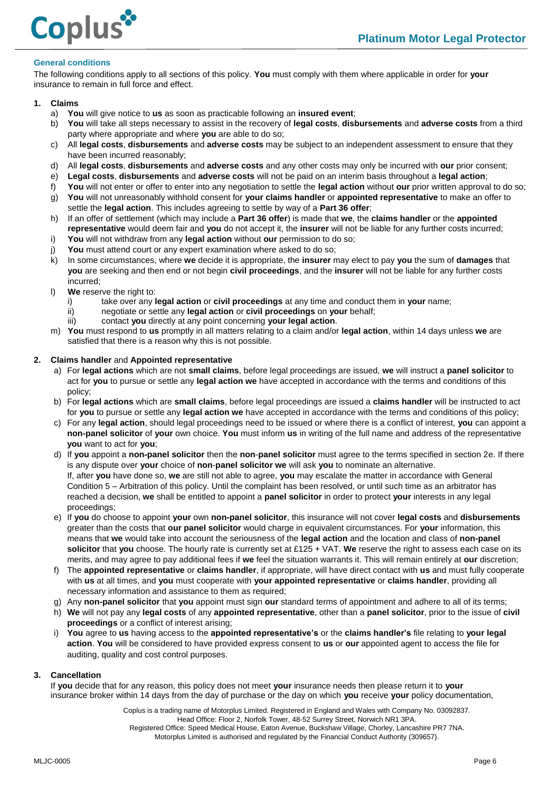

## <span id="page-6-0"></span>**General conditions**

The following conditions apply to all sections of this policy. **You** must comply with them where applicable in order for **your** insurance to remain in full force and effect.

## **1. Claims**

- a) **You** will give notice to **us** as soon as practicable following an **insured event**;
- b) **You** will take all steps necessary to assist in the recovery of **legal costs**, **disbursements** and **adverse costs** from a third party where appropriate and where **you** are able to do so;
- c) All **legal costs**, **disbursements** and **adverse costs** may be subject to an independent assessment to ensure that they have been incurred reasonably;
- d) All **legal costs**, **disbursements** and **adverse costs** and any other costs may only be incurred with **our** prior consent;
- e) **Legal costs**, **disbursements** and **adverse costs** will not be paid on an interim basis throughout a **legal action**;
- f) **You** will not enter or offer to enter into any negotiation to settle the **legal action** without **our** prior written approval to do so;
- g) **You** will not unreasonably withhold consent for **your claims handler** or **appointed representative** to make an offer to settle the **legal action**. This includes agreeing to settle by way of a **Part 36 offer**;
- h) If an offer of settlement (which may include a **Part 36 offer**) is made that **we**, the **claims handler** or the **appointed representative** would deem fair and **you** do not accept it, the **insurer** will not be liable for any further costs incurred;
- i) **You** will not withdraw from any **legal action** without **our** permission to do so;
- j) **You** must attend court or any expert examination where asked to do so;
- k) In some circumstances, where **we** decide it is appropriate, the **insurer** may elect to pay **you** the sum of **damages** that **you** are seeking and then end or not begin **civil proceedings**, and the **insurer** will not be liable for any further costs incurred;
- l) **We** reserve the right to:
	- i) take over any **legal action** or **civil proceedings** at any time and conduct them in **your** name;
	- ii) negotiate or settle any **legal action** or **civil proceedings** on **your** behalf;
	- iii) contact **you** directly at any point concerning **your legal action**.
- m) **You** must respond to **us** promptly in all matters relating to a claim and/or **legal action**, within 14 days unless **we** are satisfied that there is a reason why this is not possible.

## **2. Claims handler** and **Appointed representative**

- a) For **legal actions** which are not **small claims**, before legal proceedings are issued, **we** will instruct a **panel solicitor** to act for **you** to pursue or settle any **legal action we** have accepted in accordance with the terms and conditions of this policy;
- b) For **legal actions** which are **small claims**, before legal proceedings are issued a **claims handler** will be instructed to act for **you** to pursue or settle any **legal action we** have accepted in accordance with the terms and conditions of this policy;
- c) For any **legal action**, should legal proceedings need to be issued or where there is a conflict of interest, **you** can appoint a **non-panel solicitor** of **your** own choice. **You** must inform **us** in writing of the full name and address of the representative **you** want to act for **you**;
- d) If **you** appoint a **non-panel solicitor** then the **non**-**panel solicitor** must agree to the terms specified in section 2e. If there is any dispute over **your** choice of **non**-**panel solicitor we** will ask **you** to nominate an alternative. If, after **you** have done so, **we** are still not able to agree, **you** may escalate the matter in accordance with General Condition 5 – Arbitration of this policy. Until the complaint has been resolved, or until such time as an arbitrator has reached a decision, **we** shall be entitled to appoint a **panel solicitor** in order to protect **your** interests in any legal proceedings;
- e) If **you** do choose to appoint **your** own **non-panel solicitor**, this insurance will not cover **legal costs** and **disbursements** greater than the costs that **our panel solicitor** would charge in equivalent circumstances. For **your** information, this means that **we** would take into account the seriousness of the **legal action** and the location and class of **non-panel solicitor** that **you** choose. The hourly rate is currently set at £125 + VAT. **We** reserve the right to assess each case on its merits, and may agree to pay additional fees if **we** feel the situation warrants it. This will remain entirely at **our** discretion;
- f) The **appointed representative** or **claims handler**, if appropriate, will have direct contact with **us** and must fully cooperate with **us** at all times, and **you** must cooperate with **your appointed representative** or **claims handler**, providing all necessary information and assistance to them as required;
- g) Any **non-panel solicitor** that **you** appoint must sign **our** standard terms of appointment and adhere to all of its terms;
- h) **We** will not pay any **legal costs** of any **appointed representative**, other than a **panel solicitor**, prior to the issue of **civil proceedings** or a conflict of interest arising;
- i) **You** agree to **us** having access to the **appointed representative's** or the **claims handler's** file relating to **your legal action**. **You** will be considered to have provided express consent to **us** or **our** appointed agent to access the file for auditing, quality and cost control purposes.

#### **3. Cancellation**

If **you** decide that for any reason, this policy does not meet **your** insurance needs then please return it to **your**  insurance broker within 14 days from the day of purchase or the day on which **you** receive **your** policy documentation,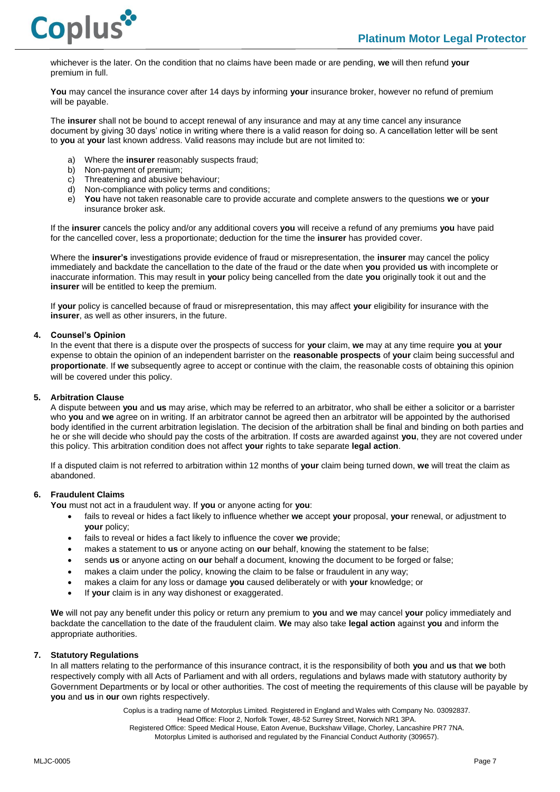whichever is the later. On the condition that no claims have been made or are pending, **we** will then refund **your** premium in full.

**You** may cancel the insurance cover after 14 days by informing **your** insurance broker, however no refund of premium will be payable.

The **insurer** shall not be bound to accept renewal of any insurance and may at any time cancel any insurance document by giving 30 days' notice in writing where there is a valid reason for doing so. A cancellation letter will be sent to **you** at **your** last known address. Valid reasons may include but are not limited to:

- a) Where the **insurer** reasonably suspects fraud;
- b) Non-payment of premium;
- c) Threatening and abusive behaviour;
- d) Non-compliance with policy terms and conditions;
- e) **You** have not taken reasonable care to provide accurate and complete answers to the questions **we** or **your**  insurance broker ask.

If the **insurer** cancels the policy and/or any additional covers **you** will receive a refund of any premiums **you** have paid for the cancelled cover, less a proportionate; deduction for the time the **insurer** has provided cover.

Where the **insurer's** investigations provide evidence of fraud or misrepresentation, the **insurer** may cancel the policy immediately and backdate the cancellation to the date of the fraud or the date when **you** provided **us** with incomplete or inaccurate information. This may result in **your** policy being cancelled from the date **you** originally took it out and the **insurer** will be entitled to keep the premium.

If **your** policy is cancelled because of fraud or misrepresentation, this may affect **your** eligibility for insurance with the **insurer**, as well as other insurers, in the future.

#### **4. Counsel's Opinion**

In the event that there is a dispute over the prospects of success for **your** claim, **we** may at any time require **you** at **your** expense to obtain the opinion of an independent barrister on the **reasonable prospects** of **your** claim being successful and **proportionate**. If **we** subsequently agree to accept or continue with the claim, the reasonable costs of obtaining this opinion will be covered under this policy.

#### **5. Arbitration Clause**

A dispute between **you** and **us** may arise, which may be referred to an arbitrator, who shall be either a solicitor or a barrister who **you** and **we** agree on in writing. If an arbitrator cannot be agreed then an arbitrator will be appointed by the authorised body identified in the current arbitration legislation. The decision of the arbitration shall be final and binding on both parties and he or she will decide who should pay the costs of the arbitration. If costs are awarded against **you**, they are not covered under this policy. This arbitration condition does not affect **your** rights to take separate **legal action**.

If a disputed claim is not referred to arbitration within 12 months of **your** claim being turned down, **we** will treat the claim as abandoned.

## **6. Fraudulent Claims**

**You** must not act in a fraudulent way. If **you** or anyone acting for **you**:

- fails to reveal or hides a fact likely to influence whether **we** accept **your** proposal, **your** renewal, or adjustment to **your** policy;
- fails to reveal or hides a fact likely to influence the cover **we** provide;
- makes a statement to **us** or anyone acting on **our** behalf, knowing the statement to be false;
- sends **us** or anyone acting on **our** behalf a document, knowing the document to be forged or false;
- makes a claim under the policy, knowing the claim to be false or fraudulent in any way;
- makes a claim for any loss or damage **you** caused deliberately or with **your** knowledge; or
- If **your** claim is in any way dishonest or exaggerated.

**We** will not pay any benefit under this policy or return any premium to **you** and **we** may cancel **your** policy immediately and backdate the cancellation to the date of the fraudulent claim. **We** may also take **legal action** against **you** and inform the appropriate authorities.

#### **7. Statutory Regulations**

In all matters relating to the performance of this insurance contract, it is the responsibility of both **you** and **us** that **we** both respectively comply with all Acts of Parliament and with all orders, regulations and bylaws made with statutory authority by Government Departments or by local or other authorities. The cost of meeting the requirements of this clause will be payable by **you** and **us** in **our** own rights respectively.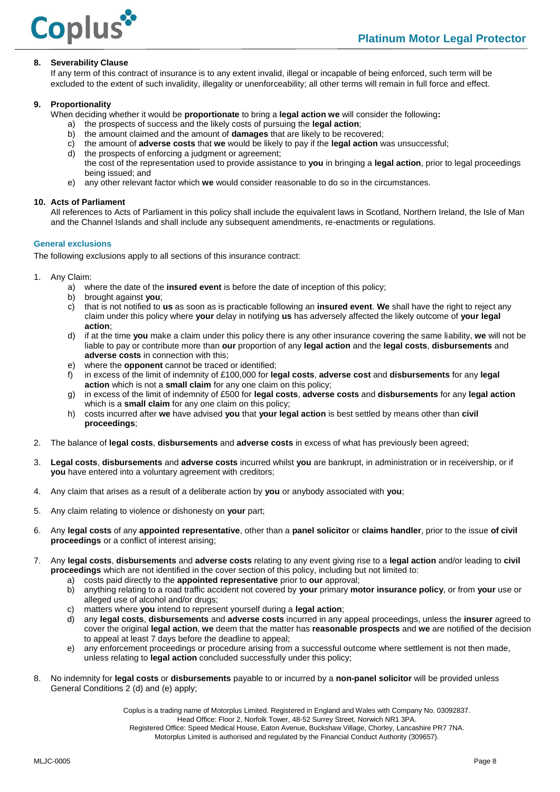

## **8. Severability Clause**

If any term of this contract of insurance is to any extent invalid, illegal or incapable of being enforced, such term will be excluded to the extent of such invalidity, illegality or unenforceability; all other terms will remain in full force and effect.

#### **9. Proportionality**

When deciding whether it would be **proportionate** to bring a **legal action we** will consider the following**:**

- a) the prospects of success and the likely costs of pursuing the **legal action**;
- b) the amount claimed and the amount of **damages** that are likely to be recovered;
- c) the amount of **adverse costs** that **we** would be likely to pay if the **legal action** was unsuccessful;
- d) the prospects of enforcing a judgment or agreement; the cost of the representation used to provide assistance to **you** in bringing a **legal action**, prior to legal proceedings being issued; and
- e) any other relevant factor which **we** would consider reasonable to do so in the circumstances.

#### **10. Acts of Parliament**

All references to Acts of Parliament in this policy shall include the equivalent laws in Scotland, Northern Ireland, the Isle of Man and the Channel Islands and shall include any subsequent amendments, re-enactments or regulations.

## <span id="page-8-0"></span>**General exclusions**

The following exclusions apply to all sections of this insurance contract:

- 1. Any Claim:
	- a) where the date of the **insured event** is before the date of inception of this policy;
	- b) brought against **you**;
	- c) that is not notified to **us** as soon as is practicable following an **insured event**. **We** shall have the right to reject any claim under this policy where **your** delay in notifying **us** has adversely affected the likely outcome of **your legal action**;
	- d) if at the time **you** make a claim under this policy there is any other insurance covering the same liability, **we** will not be liable to pay or contribute more than **our** proportion of any **legal action** and the **legal costs**, **disbursements** and **adverse costs** in connection with this;
	- e) where the **opponent** cannot be traced or identified;
	- f) in excess of the limit of indemnity of £100,000 for **legal costs**, **adverse cost** and **disbursements** for any **legal action** which is not a **small claim** for any one claim on this policy;
	- g) in excess of the limit of indemnity of £500 for **legal costs**, **adverse costs** and **disbursements** for any **legal action** which is a **small claim** for any one claim on this policy;
	- h) costs incurred after **we** have advised **you** that **your legal action** is best settled by means other than **civil proceedings**;
- 2. The balance of **legal costs**, **disbursements** and **adverse costs** in excess of what has previously been agreed;
- 3. **Legal costs**, **disbursements** and **adverse costs** incurred whilst **you** are bankrupt, in administration or in receivership, or if **you** have entered into a voluntary agreement with creditors;
- 4. Any claim that arises as a result of a deliberate action by **you** or anybody associated with **you**;
- 5. Any claim relating to violence or dishonesty on **your** part;
- 6. Any **legal costs** of any **appointed representative**, other than a **panel solicitor** or **claims handler**, prior to the issue **of civil proceedings** or a conflict of interest arising;
- 7. Any **legal costs**, **disbursements** and **adverse costs** relating to any event giving rise to a **legal action** and/or leading to **civil proceedings** which are not identified in the cover section of this policy, including but not limited to:
	- a) costs paid directly to the **appointed representative** prior to **our** approval;
	- b) anything relating to a road traffic accident not covered by **your** primary **motor insurance policy**, or from **your** use or alleged use of alcohol and/or drugs;
	- c) matters where **you** intend to represent yourself during a **legal action**;
	- d) any **legal costs**, **disbursements** and **adverse costs** incurred in any appeal proceedings, unless the **insurer** agreed to cover the original **legal action**, **we** deem that the matter has **reasonable prospects** and **we** are notified of the decision to appeal at least 7 days before the deadline to appeal;
	- e) any enforcement proceedings or procedure arising from a successful outcome where settlement is not then made, unless relating to **legal action** concluded successfully under this policy;
- 8. No indemnity for **legal costs** or **disbursements** payable to or incurred by a **non-panel solicitor** will be provided unless General Conditions 2 (d) and (e) apply;

Coplus is a trading name of Motorplus Limited. Registered in England and Wales with Company No. 03092837.

Head Office: Floor 2, Norfolk Tower, 48-52 Surrey Street, Norwich NR1 3PA.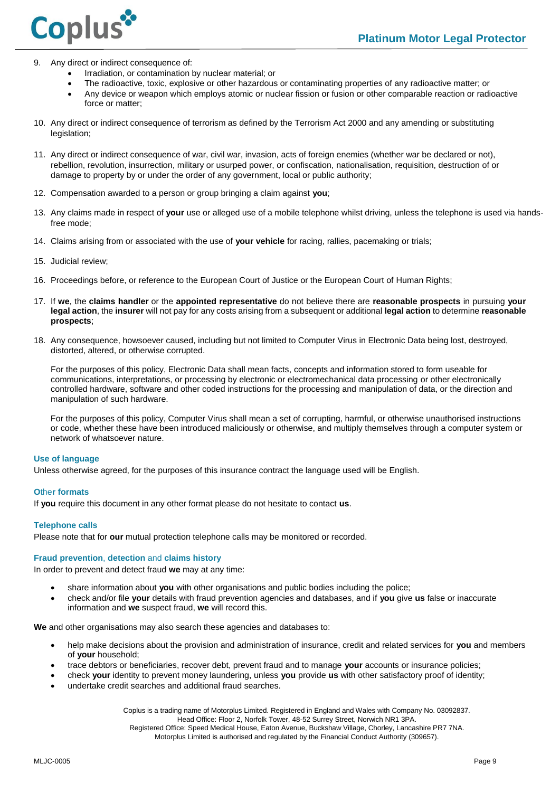

- 9. Any direct or indirect consequence of:
	- Irradiation, or contamination by nuclear material; or
	- The radioactive, toxic, explosive or other hazardous or contaminating properties of any radioactive matter; or
	- Any device or weapon which employs atomic or nuclear fission or fusion or other comparable reaction or radioactive force or matter;
- 10. Any direct or indirect consequence of terrorism as defined by the Terrorism Act 2000 and any amending or substituting legislation;
- 11. Any direct or indirect consequence of war, civil war, invasion, acts of foreign enemies (whether war be declared or not), rebellion, revolution, insurrection, military or usurped power, or confiscation, nationalisation, requisition, destruction of or damage to property by or under the order of any government, local or public authority;
- 12. Compensation awarded to a person or group bringing a claim against **you**;
- 13. Any claims made in respect of **your** use or alleged use of a mobile telephone whilst driving, unless the telephone is used via handsfree mode;
- 14. Claims arising from or associated with the use of **your vehicle** for racing, rallies, pacemaking or trials;
- 15. Judicial review;
- 16. Proceedings before, or reference to the European Court of Justice or the European Court of Human Rights;
- 17. If **we**, the **claims handler** or the **appointed representative** do not believe there are **reasonable prospects** in pursuing **your legal action**, the **insurer** will not pay for any costs arising from a subsequent or additional **legal action** to determine **reasonable prospects**;
- 18. Any consequence, howsoever caused, including but not limited to Computer Virus in Electronic Data being lost, destroyed, distorted, altered, or otherwise corrupted.

For the purposes of this policy, Electronic Data shall mean facts, concepts and information stored to form useable for communications, interpretations, or processing by electronic or electromechanical data processing or other electronically controlled hardware, software and other coded instructions for the processing and manipulation of data, or the direction and manipulation of such hardware.

For the purposes of this policy, Computer Virus shall mean a set of corrupting, harmful, or otherwise unauthorised instructions or code, whether these have been introduced maliciously or otherwise, and multiply themselves through a computer system or network of whatsoever nature.

#### <span id="page-9-0"></span>**Use of language**

<span id="page-9-1"></span>Unless otherwise agreed, for the purposes of this insurance contract the language used will be English.

#### **O**the**r formats**

If **you** require this document in any other format please do not hesitate to contact **us**.

#### <span id="page-9-2"></span>**Telephone calls**

<span id="page-9-3"></span>Please note that for **our** mutual protection telephone calls may be monitored or recorded.

#### **Fraud prevention**, **detection** and **claims history**

In order to prevent and detect fraud **we** may at any time:

- share information about **you** with other organisations and public bodies including the police;
- check and/or file **your** details with fraud prevention agencies and databases, and if **you** give **us** false or inaccurate information and **we** suspect fraud, **we** will record this.

**We** and other organisations may also search these agencies and databases to:

- help make decisions about the provision and administration of insurance, credit and related services for **you** and members of **your** household;
- trace debtors or beneficiaries, recover debt, prevent fraud and to manage **your** accounts or insurance policies;
- check **your** identity to prevent money laundering, unless **you** provide **us** with other satisfactory proof of identity;
- undertake credit searches and additional fraud searches.

Coplus is a trading name of Motorplus Limited. Registered in England and Wales with Company No. 03092837.

Head Office: Floor 2, Norfolk Tower, 48-52 Surrey Street, Norwich NR1 3PA.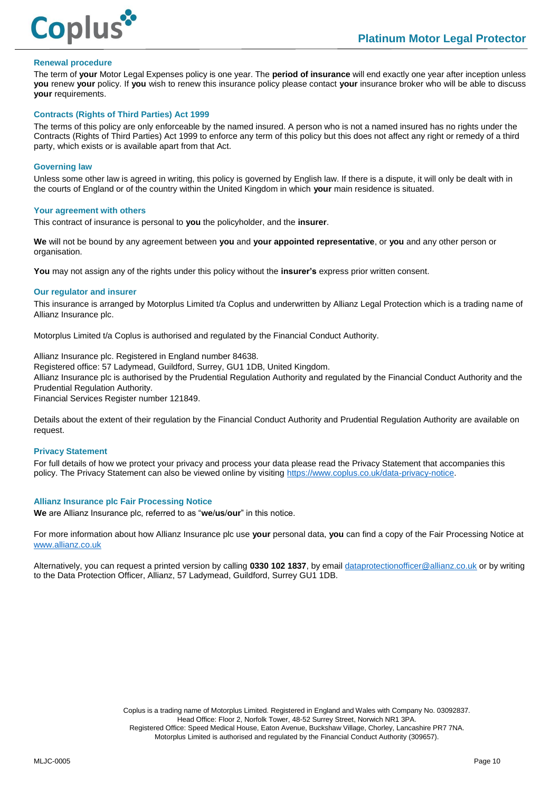

#### <span id="page-10-0"></span>**Renewal procedure**

The term of **your** Motor Legal Expenses policy is one year. The **period of insurance** will end exactly one year after inception unless **you** renew **your** policy. If **you** wish to renew this insurance policy please contact **your** insurance broker who will be able to discuss **your** requirements.

#### <span id="page-10-1"></span>**Contracts (Rights of Third Parties) Act 1999**

The terms of this policy are only enforceable by the named insured. A person who is not a named insured has no rights under the Contracts (Rights of Third Parties) Act 1999 to enforce any term of this policy but this does not affect any right or remedy of a third party, which exists or is available apart from that Act.

#### <span id="page-10-2"></span>**Governing law**

Unless some other law is agreed in writing, this policy is governed by English law. If there is a dispute, it will only be dealt with in the courts of England or of the country within the United Kingdom in which **your** main residence is situated.

#### <span id="page-10-3"></span>**Your agreement with others**

This contract of insurance is personal to **you** the policyholder, and the **insurer**.

**We** will not be bound by any agreement between **you** and **your appointed representative**, or **you** and any other person or organisation.

<span id="page-10-4"></span>**You** may not assign any of the rights under this policy without the **insurer's** express prior written consent.

#### **Our regulator and insurer**

This insurance is arranged by Motorplus Limited t/a Coplus and underwritten by Allianz Legal Protection which is a trading name of Allianz Insurance plc.

Motorplus Limited t/a Coplus is authorised and regulated by the Financial Conduct Authority.

Allianz Insurance plc. Registered in England number 84638.

Registered office: 57 Ladymead, Guildford, Surrey, GU1 1DB, United Kingdom.

Allianz Insurance plc is authorised by the Prudential Regulation Authority and regulated by the Financial Conduct Authority and the Prudential Regulation Authority.

Financial Services Register number 121849.

Details about the extent of their regulation by the Financial Conduct Authority and Prudential Regulation Authority are available on request.

#### <span id="page-10-5"></span>**Privacy Statement**

For full details of how we protect your privacy and process your data please read the Privacy Statement that accompanies this policy. The Privacy Statement can also be viewed online by visiting [https://www.coplus.co.uk/data-privacy-notice.](https://www.coplus.co.uk/data-privacy-notice)

#### <span id="page-10-6"></span>**Allianz Insurance plc Fair Processing Notice**

**We** are Allianz Insurance plc, referred to as "**we**/**us**/**our**" in this notice.

For more information about how Allianz Insurance plc use **your** personal data, **you** can find a copy of the Fair Processing Notice at [www.allianz.co.uk](http://www.allianz.co.uk/)

Alternatively, you can request a printed version by calling **0330 102 1837**, by emai[l dataprotectionofficer@allianz.co.uk](mailto:dataprotectionofficer@allianz.co.uk) or by writing to the Data Protection Officer, Allianz, 57 Ladymead, Guildford, Surrey GU1 1DB.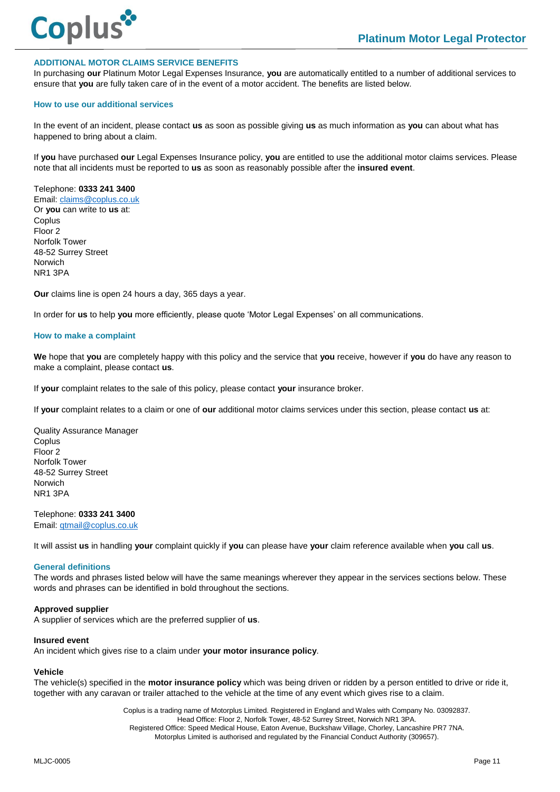

#### **ADDITIONAL MOTOR CLAIMS SERVICE BENEFITS**

In purchasing **our** Platinum Motor Legal Expenses Insurance, **you** are automatically entitled to a number of additional services to ensure that **you** are fully taken care of in the event of a motor accident. The benefits are listed below.

#### **How to use our additional services**

In the event of an incident, please contact **us** as soon as possible giving **us** as much information as **you** can about what has happened to bring about a claim.

If **you** have purchased **our** Legal Expenses Insurance policy, **you** are entitled to use the additional motor claims services. Please note that all incidents must be reported to **us** as soon as reasonably possible after the **insured event**.

Telephone: **0333 241 3400** Email[: claims@coplus.co.uk](mailto:claims@coplus.co.uk)

Or **you** can write to **us** at: **Coplus** Floor 2 Norfolk Tower 48-52 Surrey Street Norwich NR1 3PA

**Our** claims line is open 24 hours a day, 365 days a year.

In order for **us** to help **you** more efficiently, please quote 'Motor Legal Expenses' on all communications.

#### **How to make a complaint**

**We** hope that **you** are completely happy with this policy and the service that **you** receive, however if **you** do have any reason to make a complaint, please contact **us**.

If **your** complaint relates to the sale of this policy, please contact **your** insurance broker.

If **your** complaint relates to a claim or one of **our** additional motor claims services under this section, please contact **us** at:

Quality Assurance Manager **Coplus** Floor 2 Norfolk Tower 48-52 Surrey Street Norwich NR1 3PA

Telephone: **0333 241 3400** Email[: qtmail@coplus.co.uk](mailto:qtmail@coplus.co.uk)

It will assist **us** in handling **your** complaint quickly if **you** can please have **your** claim reference available when **you** call **us**.

#### **General definitions**

The words and phrases listed below will have the same meanings wherever they appear in the services sections below. These words and phrases can be identified in bold throughout the sections.

#### **Approved supplier**

A supplier of services which are the preferred supplier of **us**.

#### **Insured event**

An incident which gives rise to a claim under **your motor insurance policy**.

#### **Vehicle**

The vehicle(s) specified in the **motor insurance policy** which was being driven or ridden by a person entitled to drive or ride it, together with any caravan or trailer attached to the vehicle at the time of any event which gives rise to a claim.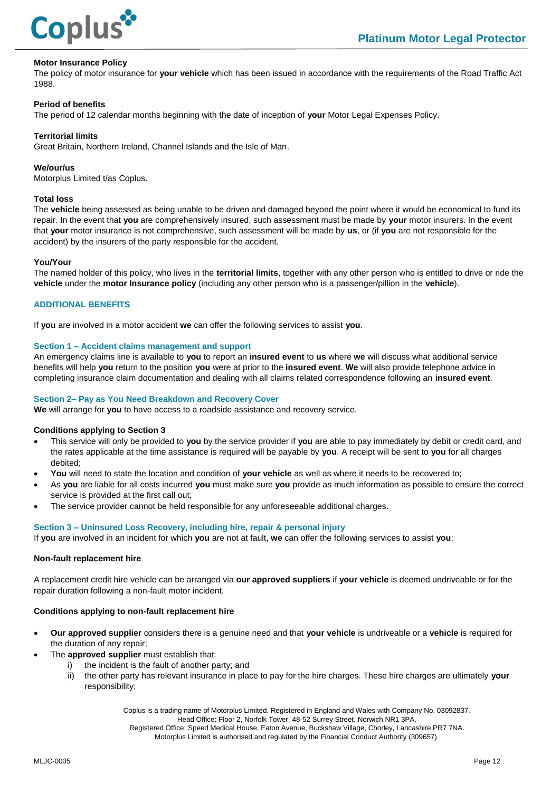

## **Motor Insurance Policy**

The policy of motor insurance for **your vehicle** which has been issued in accordance with the requirements of the Road Traffic Act 1988.

## **Period of benefits**

The period of 12 calendar months beginning with the date of inception of **your** Motor Legal Expenses Policy.

## **Territorial limits**

Great Britain, Northern Ireland, Channel Islands and the Isle of Man.

#### **We/our/us**

Motorplus Limited t/as Coplus.

#### **Total loss**

The **vehicle** being assessed as being unable to be driven and damaged beyond the point where it would be economical to fund its repair. In the event that **you** are comprehensively insured, such assessment must be made by **your** motor insurers. In the event that **your** motor insurance is not comprehensive, such assessment will be made by **us**, or (if **you** are not responsible for the accident) by the insurers of the party responsible for the accident.

#### **You/Your**

The named holder of this policy, who lives in the **territorial limits**, together with any other person who is entitled to drive or ride the **vehicle** under the **motor Insurance policy** (including any other person who is a passenger/pillion in the **vehicle**).

## **ADDITIONAL BENEFITS**

If **you** are involved in a motor accident **we** can offer the following services to assist **you**.

#### **Section 1 – Accident claims management and support**

An emergency claims line is available to **you** to report an **insured event** to **us** where **we** will discuss what additional service benefits will help **you** return to the position **you** were at prior to the **insured event**. **We** will also provide telephone advice in completing insurance claim documentation and dealing with all claims related correspondence following an **insured event**.

#### **Section 2– Pay as You Need Breakdown and Recovery Cover**

**We** will arrange for **you** to have access to a roadside assistance and recovery service.

#### **Conditions applying to Section 3**

- This service will only be provided to **you** by the service provider if **you** are able to pay immediately by debit or credit card, and the rates applicable at the time assistance is required will be payable by **you**. A receipt will be sent to **you** for all charges debited;
- **You** will need to state the location and condition of **your vehicle** as well as where it needs to be recovered to;
- As **you** are liable for all costs incurred **you** must make sure **you** provide as much information as possible to ensure the correct service is provided at the first call out;
- The service provider cannot be held responsible for any unforeseeable additional charges.

#### **Section 3 – Uninsured Loss Recovery, including hire, repair & personal injury**

If **you** are involved in an incident for which **you** are not at fault, **we** can offer the following services to assist **you**:

#### **Non-fault replacement hire**

A replacement credit hire vehicle can be arranged via **our approved suppliers** if **your vehicle** is deemed undriveable or for the repair duration following a non-fault motor incident.

#### **Conditions applying to non-fault replacement hire**

- **Our approved supplier** considers there is a genuine need and that **your vehicle** is undriveable or a **vehicle** is required for the duration of any repair;
	- The **approved supplier** must establish that:
		- the incident is the fault of another party; and
		- ii) the other party has relevant insurance in place to pay for the hire charges. These hire charges are ultimately **your** responsibility;

Coplus is a trading name of Motorplus Limited. Registered in England and Wales with Company No. 03092837.

Head Office: Floor 2, Norfolk Tower, 48-52 Surrey Street, Norwich NR1 3PA.